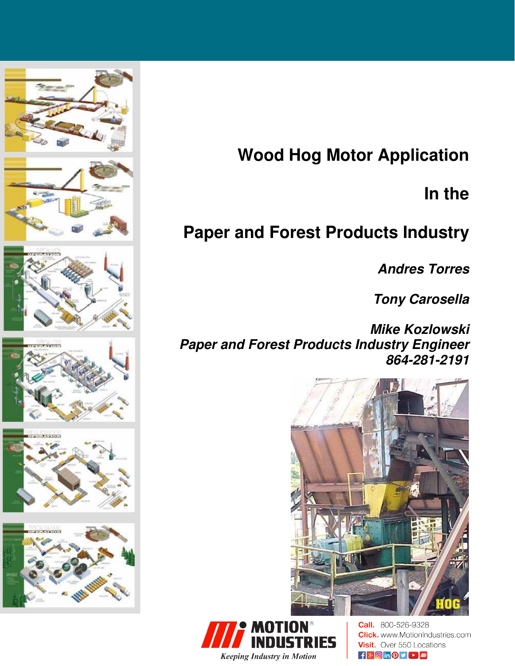

# **Wood Hog Motor Application**

# **In the**

# **Paper and Forest Products Industry**

**Andres Torres** 

**Tony Carosella** 

**Mike Kozlowski Paper and Forest Products Industry Engineer 864-281-2191** 





**Call.** 800-526-9328 **Click.** www.MotionIndustries.com **Visit.** Over 550 Locations  $\mathbf{f}$   $\mathbf{S}$   $\Theta$  in  $\mathbf{O}$   $\mathbf{V}$   $\mathbf{E}$   $\mathbf{m}$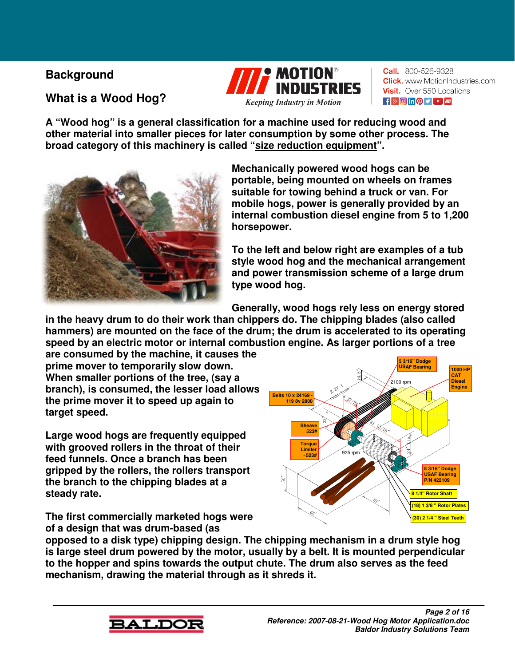## **Background**

# **What is a Wood Hog?**



**Call.** 800-526-9328 **Click.** www.MotionIndustries.com Visit. Over 550 Locations  $\mathbf{F}$   $\mathbf{F}$   $\mathbf{F}$   $\mathbf{F}$   $\mathbf{F}$   $\mathbf{F}$   $\mathbf{F}$   $\mathbf{F}$   $\mathbf{F}$   $\mathbf{F}$   $\mathbf{F}$ 

**A "Wood hog" is a general classification for a machine used for reducing wood and other material into smaller pieces for later consumption by some other process. The broad category of this machinery is called "size reduction equipment".** 



**Mechanically powered wood hogs can be portable, being mounted on wheels on frames suitable for towing behind a truck or van. For mobile hogs, power is generally provided by an internal combustion diesel engine from 5 to 1,200 horsepower.** 

**To the left and below right are examples of a tub style wood hog and the mechanical arrangement and power transmission scheme of a large drum type wood hog.** 

**Generally, wood hogs rely less on energy stored** 

**in the heavy drum to do their work than chippers do. The chipping blades (also called hammers) are mounted on the face of the drum; the drum is accelerated to its operating speed by an electric motor or internal combustion engine. As larger portions of a tree** 

**are consumed by the machine, it causes the prime mover to temporarily slow down. When smaller portions of the tree, (say a branch), is consumed, the lesser load allows the prime mover it to speed up again to target speed.** 

**Large wood hogs are frequently equipped with grooved rollers in the throat of their feed funnels. Once a branch has been gripped by the rollers, the rollers transport the branch to the chipping blades at a steady rate.** 

**The first commercially marketed hogs were of a design that was drum-based (as** 



**opposed to a disk type) chipping design. The chipping mechanism in a drum style hog is large steel drum powered by the motor, usually by a belt. It is mounted perpendicular to the hopper and spins towards the output chute. The drum also serves as the feed mechanism, drawing the material through as it shreds it.** 

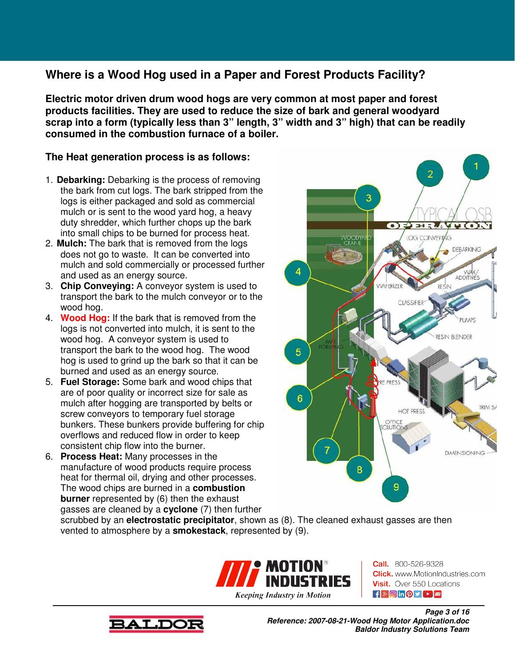## **Where is a Wood Hog used in a Paper and Forest Products Facility?**

**Electric motor driven drum wood hogs are very common at most paper and forest products facilities. They are used to reduce the size of bark and general woodyard scrap into a form (typically less than 3" length, 3" width and 3" high) that can be readily consumed in the combustion furnace of a boiler.** 

### **The Heat generation process is as follows:**

- 1. **Debarking:** Debarking is the process of removing the bark from cut logs. The bark stripped from the logs is either packaged and sold as commercial mulch or is sent to the wood yard hog, a heavy duty shredder, which further chops up the bark into small chips to be burned for process heat.
- 2. **Mulch:** The bark that is removed from the logs does not go to waste. It can be converted into mulch and sold commercially or processed further and used as an energy source.
- 3. **Chip Conveying:** A conveyor system is used to transport the bark to the mulch conveyor or to the wood hog.
- 4. **Wood Hog:** If the bark that is removed from the logs is not converted into mulch, it is sent to the wood hog. A conveyor system is used to transport the bark to the wood hog. The wood hog is used to grind up the bark so that it can be burned and used as an energy source.
- 5. **Fuel Storage:** Some bark and wood chips that are of poor quality or incorrect size for sale as mulch after hogging are transported by belts or screw conveyors to temporary fuel storage bunkers. These bunkers provide buffering for chip overflows and reduced flow in order to keep consistent chip flow into the burner.
- 6. **Process Heat:** Many processes in the manufacture of wood products require process heat for thermal oil, drying and other processes. The wood chips are burned in a **combustion burner** represented by (6) then the exhaust gasses are cleaned by a **cyclone** (7) then further



scrubbed by an **electrostatic precipitator**, shown as (8). The cleaned exhaust gasses are then vented to atmosphere by a **smokestack**, represented by (9).



**Call.** 800-526-9328 **Click.** www.MotionIndustries.com **Visit.** Over 550 Locations  $\mathbf{f}$   $\mathbf{S}$   $\Theta$  in  $\mathbf{Q}$   $\mathbf{V}$   $\mathbf{F}$   $\mathbf{m}$ 



**Page 3 of 16 Reference: 2007-08-21-Wood Hog Motor Application.doc Baldor Industry Solutions Team**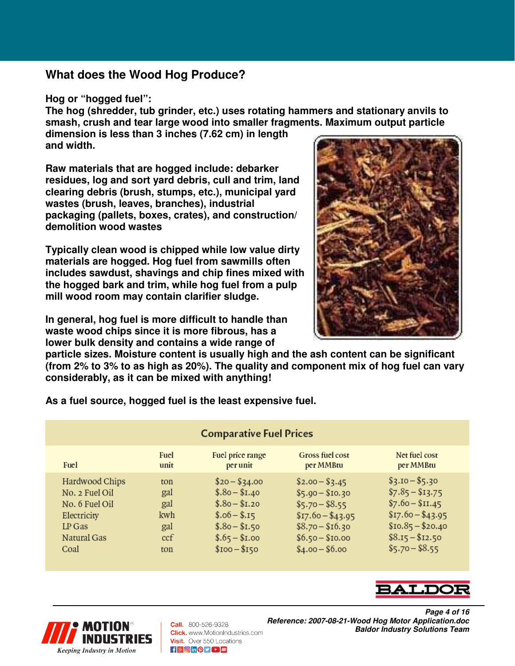### **What does the Wood Hog Produce?**

#### **Hog or "hogged fuel":**

**The hog (shredder, tub grinder, etc.) uses rotating hammers and stationary anvils to smash, crush and tear large wood into smaller fragments. Maximum output particle dimension is less than 3 inches (7.62 cm) in length** 

**and width.** 

**Raw materials that are hogged include: debarker residues, log and sort yard debris, cull and trim, land clearing debris (brush, stumps, etc.), municipal yard wastes (brush, leaves, branches), industrial packaging (pallets, boxes, crates), and construction/ demolition wood wastes** 

**Typically clean wood is chipped while low value dirty materials are hogged. Hog fuel from sawmills often includes sawdust, shavings and chip fines mixed with the hogged bark and trim, while hog fuel from a pulp mill wood room may contain clarifier sludge.** 

**In general, hog fuel is more difficult to handle than waste wood chips since it is more fibrous, has a lower bulk density and contains a wide range of** 

**particle sizes. Moisture content is usually high and the ash content can be significant (from 2% to 3% to as high as 20%). The quality and component mix of hog fuel can vary considerably, as it can be mixed with anything!** 

**As a fuel source, hogged fuel is the least expensive fuel.** 

| <b>Comparative Fuel Prices</b> |      |                  |                   |                   |
|--------------------------------|------|------------------|-------------------|-------------------|
| Fuel                           | Fuel | Fuel price range | Gross fuel cost   | Net fuel cost     |
|                                | unit | per unit         | per MMBtu         | per MMBtu         |
| Hardwood Chips                 | ton  | $$20 - $34.00$   | $$2.00 - $3.45$   | $$3.10 - $5.30$   |
| No. 2 Fuel Oil                 | gal  | $$.80 - $I.40$   | $$5.90 - $10.30$  | $$7.85 - $13.75$  |
| No. 6 Fuel Oil                 | gal  | $$.80 - $1.20$   | $$5.70 - $8.55$   | $$7.60 - $11.45$  |
| Electricity                    | kwh  | $$.06 - $.15$    | $$17.60 - $43.95$ | $$17.60 - $43.95$ |
| LP Gas                         | gal  | $$.80 - $1.50$   | $$8.70 - $16.30$  | $$10.85 - $20.40$ |
| Natural Gas                    | ccf  | $$.65 - $1.00$   | $$6.50 - $10.00$  | $$8.15 - $12.50$  |
| Coal                           | ton  | $$100 - $150$    | $$4.00 - $6.00$   | $$5.70 - $8.55$   |





Call. 800-526-9328 **Click.** www.MotionIndustries.com Visit. Over 550 Locations  $\frac{1}{2}$   $\frac{1}{2}$   $\frac{1}{2}$   $\frac{1}{2}$   $\frac{1}{2}$   $\frac{1}{2}$   $\frac{1}{2}$   $\frac{1}{2}$   $\frac{1}{2}$   $\frac{1}{2}$   $\frac{1}{2}$   $\frac{1}{2}$   $\frac{1}{2}$   $\frac{1}{2}$   $\frac{1}{2}$   $\frac{1}{2}$   $\frac{1}{2}$   $\frac{1}{2}$   $\frac{1}{2}$   $\frac{1}{2}$   $\frac{1}{2}$   $\frac{1}{2}$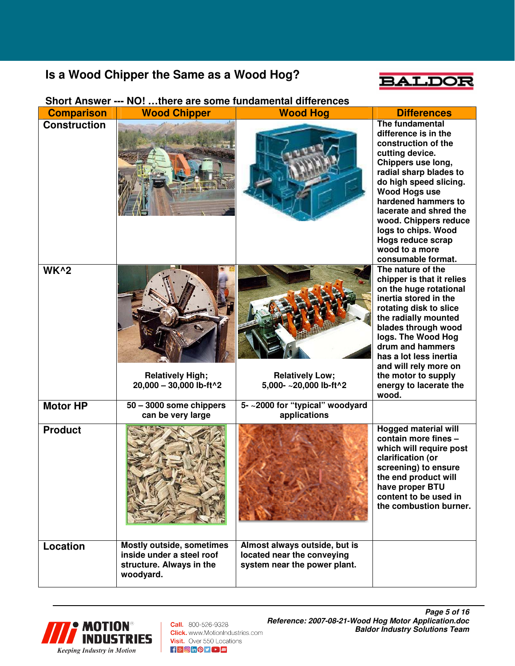## **Is a Wood Chipper the Same as a Wood Hog?**



#### **Comparison Wood Chipper Wood Hog Differences**<br>Construction **Construction Construction difference is in the construction of the cutting device. Chippers use long, radial sharp blades to do high speed slicing. Wood Hogs use hardened hammers to lacerate and shred the wood. Chippers reduce logs to chips. Wood Hogs reduce scrap wood to a more consumable format. WK^2 Relatively High; 20,000 – 30,000 lb-ft^2 Relatively Low; 5,000- ~20,000 lb-ft^2 The nature of the chipper is that it relies on the huge rotational inertia stored in the rotating disk to slice the radially mounted blades through wood logs. The Wood Hog drum and hammers has a lot less inertia and will rely more on the motor to supply energy to lacerate the wood. Motor HP 50 – 3000 some chippers can be very large 5- ~2000 for "typical" woodyard applications Product** *Hogged material will also a product Hogged material will also a product* **contain more fines – which will require post clarification (or screening) to ensure the end product will have proper BTU content to be used in the combustion burner. Location Mostly outside, sometimes inside under a steel roof structure. Always in the woodyard. Almost always outside, but is located near the conveying system near the power plant.**

#### **Short Answer --- NO! …there are some fundamental differences**



**Call.** 800-526-9328 **Click.** www.MotionIndustries.com Visit. Over 550 Locations  $f$   $\theta$  o in  $\theta$   $\theta$   $\theta$   $\theta$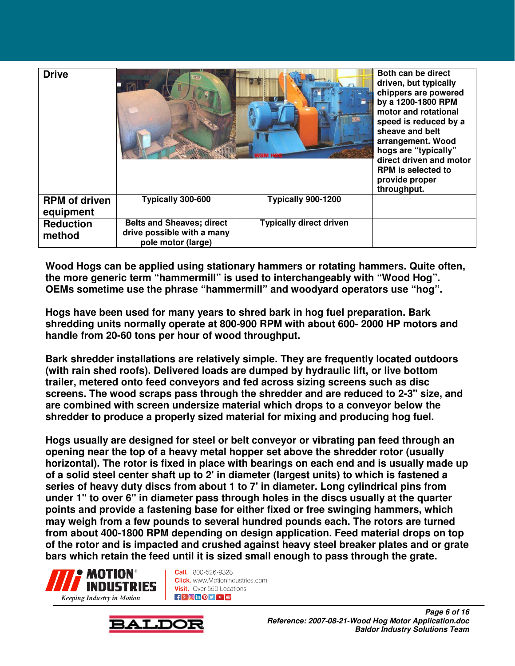| <b>Drive</b>                      |                                                                                      |                                | Both can be direct<br>driven, but typically<br>chippers are powered<br>by a 1200-1800 RPM<br>motor and rotational<br>speed is reduced by a<br>sheave and belt<br>arrangement. Wood<br>hogs are "typically"<br>direct driven and motor<br><b>RPM</b> is selected to<br>provide proper<br>throughput. |
|-----------------------------------|--------------------------------------------------------------------------------------|--------------------------------|-----------------------------------------------------------------------------------------------------------------------------------------------------------------------------------------------------------------------------------------------------------------------------------------------------|
| <b>RPM</b> of driven<br>equipment | Typically 300-600                                                                    | Typically 900-1200             |                                                                                                                                                                                                                                                                                                     |
| <b>Reduction</b><br>method        | <b>Belts and Sheaves; direct</b><br>drive possible with a many<br>pole motor (large) | <b>Typically direct driven</b> |                                                                                                                                                                                                                                                                                                     |

**Wood Hogs can be applied using stationary hammers or rotating hammers. Quite often, the more generic term "hammermill" is used to interchangeably with "Wood Hog". OEMs sometime use the phrase "hammermill" and woodyard operators use "hog".** 

**Hogs have been used for many years to shred bark in hog fuel preparation. Bark shredding units normally operate at 800-900 RPM with about 600- 2000 HP motors and handle from 20-60 tons per hour of wood throughput.** 

**Bark shredder installations are relatively simple. They are frequently located outdoors (with rain shed roofs). Delivered loads are dumped by hydraulic lift, or live bottom trailer, metered onto feed conveyors and fed across sizing screens such as disc screens. The wood scraps pass through the shredder and are reduced to 2-3" size, and are combined with screen undersize material which drops to a conveyor below the shredder to produce a properly sized material for mixing and producing hog fuel.** 

**Hogs usually are designed for steel or belt conveyor or vibrating pan feed through an opening near the top of a heavy metal hopper set above the shredder rotor (usually horizontal). The rotor is fixed in place with bearings on each end and is usually made up of a solid steel center shaft up to 2' in diameter (largest units) to which is fastened a series of heavy duty discs from about 1 to 7' in diameter. Long cylindrical pins from under 1" to over 6" in diameter pass through holes in the discs usually at the quarter points and provide a fastening base for either fixed or free swinging hammers, which may weigh from a few pounds to several hundred pounds each. The rotors are turned from about 400-1800 RPM depending on design application. Feed material drops on top of the rotor and is impacted and crushed against heavy steel breaker plates and or grate bars which retain the feed until it is sized small enough to pass through the grate.** 



**Call.** 800-526-9328 **Click.** www.MotionIndustries.com Visit. Over 550 Locations **FISHONDY DELINE** 

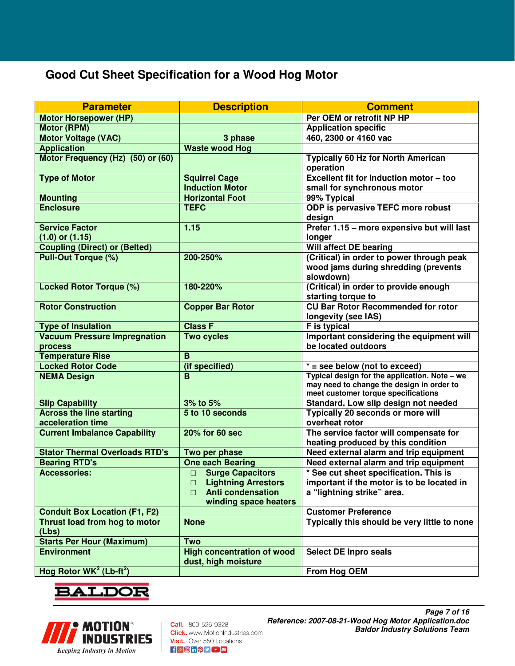## **Good Cut Sheet Specification for a Wood Hog Motor**

| <b>Parameter</b>                                | <b>Description</b>                                       | <b>Comment</b>                                |
|-------------------------------------------------|----------------------------------------------------------|-----------------------------------------------|
| <b>Motor Horsepower (HP)</b>                    |                                                          | Per OEM or retrofit NP HP                     |
| <b>Motor (RPM)</b>                              |                                                          | <b>Application specific</b>                   |
| <b>Motor Voltage (VAC)</b>                      | 3 phase                                                  | 460, 2300 or 4160 vac                         |
| <b>Application</b>                              | <b>Waste wood Hog</b>                                    |                                               |
| Motor Frequency (Hz) (50) or (60)               |                                                          | <b>Typically 60 Hz for North American</b>     |
|                                                 |                                                          | operation                                     |
| <b>Type of Motor</b>                            | <b>Squirrel Cage</b>                                     | Excellent fit for Induction motor - too       |
|                                                 | <b>Induction Motor</b>                                   | small for synchronous motor                   |
| <b>Mounting</b>                                 | <b>Horizontal Foot</b>                                   | 99% Typical                                   |
| <b>Enclosure</b>                                | <b>TEFC</b>                                              | ODP is pervasive TEFC more robust             |
|                                                 |                                                          | design                                        |
| <b>Service Factor</b>                           | 1.15                                                     | Prefer 1.15 - more expensive but will last    |
| $(1.0)$ or $(1.15)$                             |                                                          | longer                                        |
| <b>Coupling (Direct) or (Belted)</b>            |                                                          | Will affect DE bearing                        |
| <b>Pull-Out Torque (%)</b>                      | 200-250%                                                 | (Critical) in order to power through peak     |
|                                                 |                                                          | wood jams during shredding (prevents          |
|                                                 |                                                          | slowdown)                                     |
| <b>Locked Rotor Torque (%)</b>                  | 180-220%                                                 | (Critical) in order to provide enough         |
|                                                 |                                                          | starting torque to                            |
| <b>Rotor Construction</b>                       | <b>Copper Bar Rotor</b>                                  | <b>CU Bar Rotor Recommended for rotor</b>     |
|                                                 |                                                          | longevity (see IAS)                           |
| <b>Type of Insulation</b>                       | <b>Class F</b>                                           | <b>F</b> is typical                           |
| <b>Vacuum Pressure Impregnation</b>             | <b>Two cycles</b>                                        | Important considering the equipment will      |
| process                                         |                                                          | be located outdoors                           |
| <b>Temperature Rise</b>                         | B                                                        |                                               |
| <b>Locked Rotor Code</b>                        | (if specified)                                           | $* =$ see below (not to exceed)               |
| <b>NEMA Design</b>                              | B                                                        | Typical design for the application. Note - we |
|                                                 |                                                          | may need to change the design in order to     |
|                                                 |                                                          | meet customer torque specifications           |
| <b>Slip Capability</b>                          | 3% to 5%                                                 | Standard. Low slip design not needed          |
| <b>Across the line starting</b>                 | 5 to 10 seconds                                          | Typically 20 seconds or more will             |
| acceleration time                               |                                                          | overheat rotor                                |
| <b>Current Imbalance Capability</b>             | 20% for 60 sec                                           | The service factor will compensate for        |
|                                                 |                                                          | heating produced by this condition            |
| <b>Stator Thermal Overloads RTD's</b>           | Two per phase                                            | Need external alarm and trip equipment        |
| <b>Bearing RTD's</b>                            | <b>One each Bearing</b>                                  | Need external alarm and trip equipment        |
| <b>Accessories:</b>                             | <b>Surge Capacitors</b><br>$\Box$                        | * See cut sheet specification. This is        |
|                                                 | <b>Lightning Arrestors</b><br>$\Box$                     | important if the motor is to be located in    |
|                                                 | <b>Anti condensation</b><br>$\Box$                       | a "lightning strike" area.                    |
|                                                 | winding space heaters                                    |                                               |
| <b>Conduit Box Location (F1, F2)</b>            |                                                          | <b>Customer Preference</b>                    |
| Thrust load from hog to motor                   | <b>None</b>                                              | Typically this should be very little to none  |
| (Lbs)                                           |                                                          |                                               |
| <b>Starts Per Hour (Maximum)</b>                | <b>Two</b>                                               |                                               |
| <b>Environment</b>                              | <b>High concentration of wood</b><br>dust, high moisture | <b>Select DE Inpro seals</b>                  |
| Hog Rotor WK <sup>2</sup> (Lb-ft <sup>2</sup> ) |                                                          | From Hog OEM                                  |



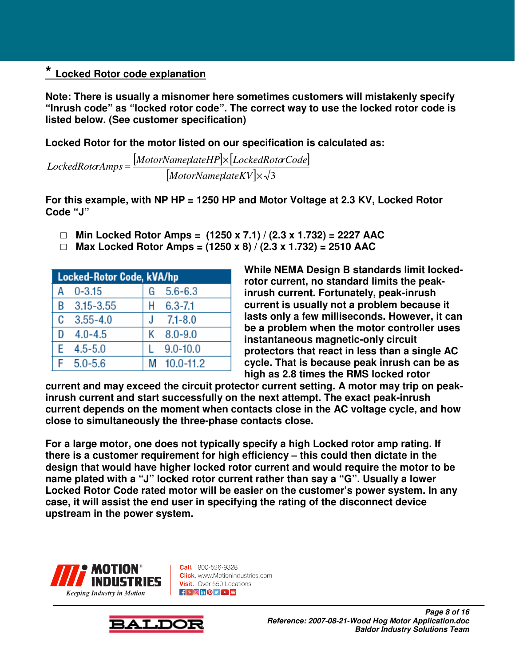### **\* Locked Rotor code explanation**

**Note: There is usually a misnomer here sometimes customers will mistakenly specify "Inrush code" as "locked rotor code". The correct way to use the locked rotor code is listed below. (See customer specification)** 

**Locked Rotor for the motor listed on our specification is calculated as:** 

 $[MotorNameplateHP] \times [LockedRotCode]$ [MotorNameplateKV] $\times \sqrt{3}$  $=\frac{[MotorNameplateHP] \times}{[}$ *MotorNameplateKV MotorNameplateHP LockedRotorCode LockedRotorAmps*

**For this example, with NP HP = 1250 HP and Motor Voltage at 2.3 KV, Locked Rotor Code "J"** 

- □ **Min Locked Rotor Amps = (1250 x 7.1) / (2.3 x 1.732) = 2227 AAC**
- □ **Max Locked Rotor Amps = (1250 x 8) / (2.3 x 1.732) = 2510 AAC**

| <b>Locked-Rotor Code, kVA/hp</b> |              |    |                 |
|----------------------------------|--------------|----|-----------------|
| А                                | $0 - 3.15$   |    | $G = 5.6 - 6.3$ |
|                                  | B 3.15-3.55  |    | $H = 6.3 - 7.1$ |
|                                  | $C$ 3.55-4.0 | J. | $7.1 - 8.0$     |
| D                                | $4.0 - 4.5$  | K  | $8.0 - 9.0$     |
| F.                               | $4.5 - 5.0$  |    | $9.0 - 10.0$    |
| F                                | $5.0 - 5.6$  | М  | $10.0 - 11.2$   |

**While NEMA Design B standards limit lockedrotor current, no standard limits the peakinrush current. Fortunately, peak-inrush current is usually not a problem because it lasts only a few milliseconds. However, it can be a problem when the motor controller uses instantaneous magnetic-only circuit protectors that react in less than a single AC cycle. That is because peak inrush can be as high as 2.8 times the RMS locked rotor** 

**current and may exceed the circuit protector current setting. A motor may trip on peakinrush current and start successfully on the next attempt. The exact peak-inrush current depends on the moment when contacts close in the AC voltage cycle, and how close to simultaneously the three-phase contacts close.** 

**For a large motor, one does not typically specify a high Locked rotor amp rating. If there is a customer requirement for high efficiency – this could then dictate in the design that would have higher locked rotor current and would require the motor to be name plated with a "J" locked rotor current rather than say a "G". Usually a lower Locked Rotor Code rated motor will be easier on the customer's power system. In any case, it will assist the end user in specifying the rating of the disconnect device upstream in the power system.** 



**Call.** 800-526-9328 **Click.** www.MotionIndustries.com Visit. Over 550 Locations  $\frac{1}{2}$   $\frac{1}{2}$   $\frac{1}{2}$   $\frac{1}{2}$   $\frac{1}{2}$   $\frac{1}{2}$   $\frac{1}{2}$   $\frac{1}{2}$   $\frac{1}{2}$   $\frac{1}{2}$   $\frac{1}{2}$   $\frac{1}{2}$   $\frac{1}{2}$   $\frac{1}{2}$   $\frac{1}{2}$   $\frac{1}{2}$   $\frac{1}{2}$   $\frac{1}{2}$   $\frac{1}{2}$   $\frac{1}{2}$   $\frac{1}{2}$   $\frac{1}{2}$ 

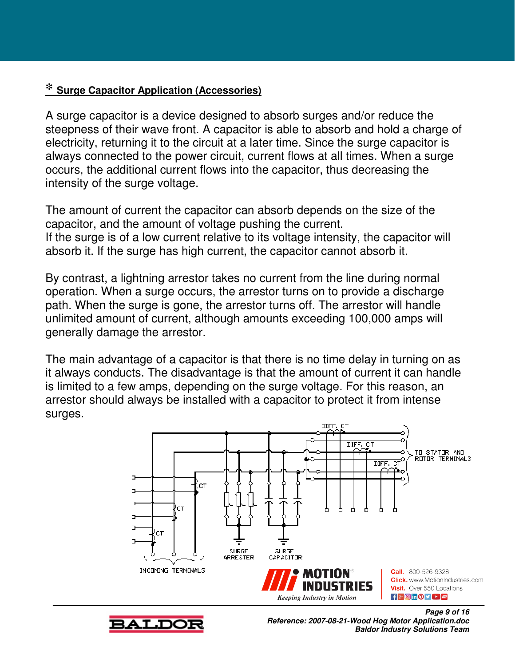### **\* Surge Capacitor Application (Accessories)**

A surge capacitor is a device designed to absorb surges and/or reduce the steepness of their wave front. A capacitor is able to absorb and hold a charge of electricity, returning it to the circuit at a later time. Since the surge capacitor is always connected to the power circuit, current flows at all times. When a surge occurs, the additional current flows into the capacitor, thus decreasing the intensity of the surge voltage.

The amount of current the capacitor can absorb depends on the size of the capacitor, and the amount of voltage pushing the current. If the surge is of a low current relative to its voltage intensity, the capacitor will absorb it. If the surge has high current, the capacitor cannot absorb it.

By contrast, a lightning arrestor takes no current from the line during normal operation. When a surge occurs, the arrestor turns on to provide a discharge path. When the surge is gone, the arrestor turns off. The arrestor will handle unlimited amount of current, although amounts exceeding 100,000 amps will generally damage the arrestor.

The main advantage of a capacitor is that there is no time delay in turning on as it always conducts. The disadvantage is that the amount of current it can handle is limited to a few amps, depending on the surge voltage. For this reason, an arrestor should always be installed with a capacitor to protect it from intense surges.





**Reference: 2007-08-21-Wood Hog Motor Application.doc Baldor Industry Solutions Team**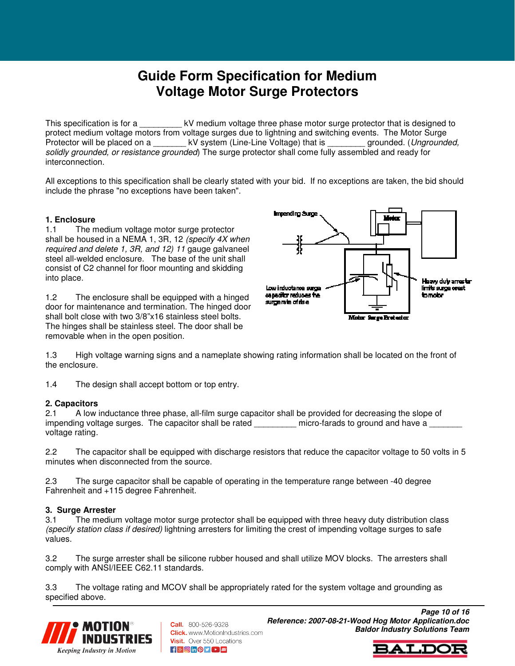# **Guide Form Specification for Medium Voltage Motor Surge Protectors**

This specification is for a  $_{\text{RV}}$  wedium voltage three phase motor surge protector that is designed to protect medium voltage motors from voltage surges due to lightning and switching events. The Motor Surge Protector will be placed on a \_\_\_\_\_\_\_ kV system (Line-Line Voltage) that is \_\_\_\_\_\_\_ grounded. (Ungrounded, solidly grounded, or resistance grounded) The surge protector shall come fully assembled and ready for interconnection.

All exceptions to this specification shall be clearly stated with your bid. If no exceptions are taken, the bid should include the phrase "no exceptions have been taken".

#### **1. Enclosure**

1.1 The medium voltage motor surge protector shall be housed in a NEMA 1, 3R, 12 (specify 4X when required and delete 1, 3R, and 12) 11 gauge galvaneel steel all-welded enclosure. The base of the unit shall consist of C2 channel for floor mounting and skidding into place.

1.2 The enclosure shall be equipped with a hinged door for maintenance and termination. The hinged door shall bolt close with two 3/8"x16 stainless steel bolts. The hinges shall be stainless steel. The door shall be removable when in the open position.



1.3 High voltage warning signs and a nameplate showing rating information shall be located on the front of the enclosure.

1.4 The design shall accept bottom or top entry.

#### **2. Capacitors**

2.1 A low inductance three phase, all-film surge capacitor shall be provided for decreasing the slope of impending voltage surges. The capacitor shall be rated  $\Box$  micro-farads to ground and have a voltage rating.

2.2 The capacitor shall be equipped with discharge resistors that reduce the capacitor voltage to 50 volts in 5 minutes when disconnected from the source.

2.3 The surge capacitor shall be capable of operating in the temperature range between -40 degree Fahrenheit and +115 degree Fahrenheit.

#### **3. Surge Arrester**

3.1 The medium voltage motor surge protector shall be equipped with three heavy duty distribution class (specify station class if desired) lightning arresters for limiting the crest of impending voltage surges to safe values.

3.2 The surge arrester shall be silicone rubber housed and shall utilize MOV blocks. The arresters shall comply with ANSI/IEEE C62.11 standards.

3.3 The voltage rating and MCOV shall be appropriately rated for the system voltage and grounding as specified above.



**Call.** 800-526-9328 **Click.** www.MotionIndustries.com Visit. Over 550 Locations  $\frac{1}{2}$   $\frac{1}{2}$   $\frac{1}{2}$   $\frac{1}{2}$   $\frac{1}{2}$   $\frac{1}{2}$   $\frac{1}{2}$   $\frac{1}{2}$   $\frac{1}{2}$   $\frac{1}{2}$   $\frac{1}{2}$   $\frac{1}{2}$   $\frac{1}{2}$   $\frac{1}{2}$   $\frac{1}{2}$   $\frac{1}{2}$   $\frac{1}{2}$   $\frac{1}{2}$   $\frac{1}{2}$   $\frac{1}{2}$   $\frac{1}{2}$   $\frac{1}{2}$ 

**Page 10 of 16 Reference: 2007-08-21-Wood Hog Motor Application.doc Baldor Industry Solutions Team**

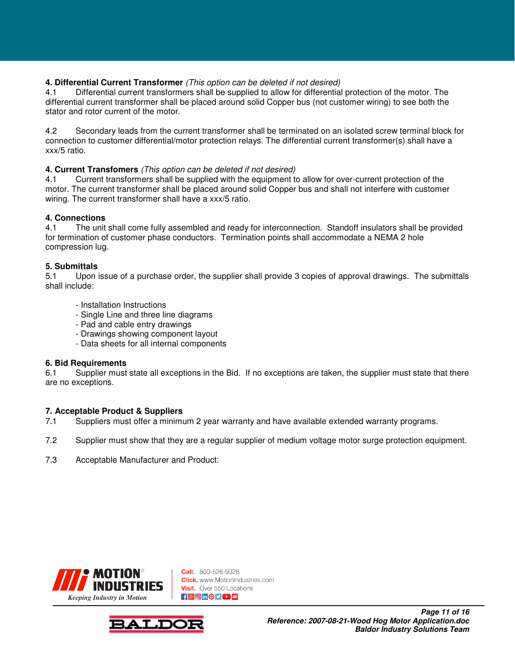#### **4. Differential Current Transformer** (This option can be deleted if not desired)

4.1 Differential current transformers shall be supplied to allow for differential protection of the motor. The differential current transformer shall be placed around solid Copper bus (not customer wiring) to see both the stator and rotor current of the motor.

4.2 Secondary leads from the current transformer shall be terminated on an isolated screw terminal block for connection to customer differential/motor protection relays. The differential current transformer(s) shall have a xxx/5 ratio.

#### **4. Current Transfomers** (This option can be deleted if not desired)

4.1 Current transformers shall be supplied with the equipment to allow for over-current protection of the motor. The current transformer shall be placed around solid Copper bus and shall not interfere with customer wiring. The current transformer shall have a xxx/5 ratio.

# **4. Connections**

The unit shall come fully assembled and ready for interconnection. Standoff insulators shall be provided for termination of customer phase conductors. Termination points shall accommodate a NEMA 2 hole compression lug.

#### **5. Submittals**

5.1 Upon issue of a purchase order, the supplier shall provide 3 copies of approval drawings. The submittals shall include:

- Installation Instructions
- Single Line and three line diagrams
- Pad and cable entry drawings
- Drawings showing component layout
- Data sheets for all internal components

#### **6. Bid Requirements**

6.1 Supplier must state all exceptions in the Bid. If no exceptions are taken, the supplier must state that there are no exceptions.

# **7. Acceptable Product & Suppliers**

- Suppliers must offer a minimum 2 year warranty and have available extended warranty programs.
- 7.2 Supplier must show that they are a regular supplier of medium voltage motor surge protection equipment.
- 7.3 Acceptable Manufacturer and Product:



**Call.** 800-526-9328 **Click.** www.MotionIndustries.com Visit. Over 550 Locations **f** & on O y D M

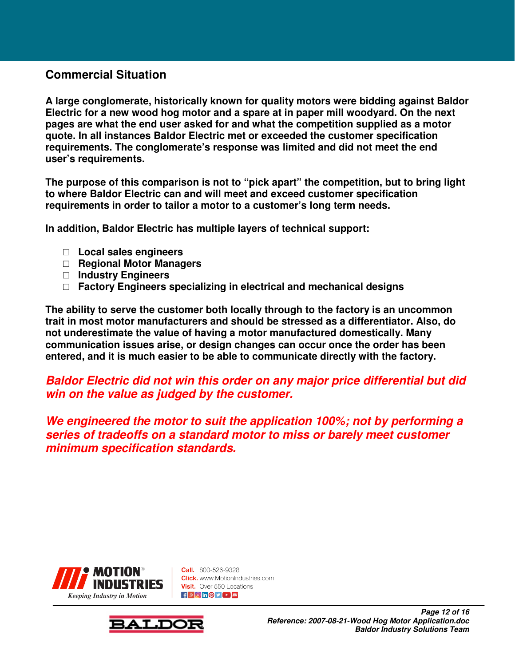### **Commercial Situation**

**A large conglomerate, historically known for quality motors were bidding against Baldor Electric for a new wood hog motor and a spare at in paper mill woodyard. On the next pages are what the end user asked for and what the competition supplied as a motor quote. In all instances Baldor Electric met or exceeded the customer specification requirements. The conglomerate's response was limited and did not meet the end user's requirements.** 

**The purpose of this comparison is not to "pick apart" the competition, but to bring light to where Baldor Electric can and will meet and exceed customer specification requirements in order to tailor a motor to a customer's long term needs.** 

**In addition, Baldor Electric has multiple layers of technical support:** 

- □ **Local sales engineers**
- □ **Regional Motor Managers**
- □ **Industry Engineers**
- □ **Factory Engineers specializing in electrical and mechanical designs**

**The ability to serve the customer both locally through to the factory is an uncommon trait in most motor manufacturers and should be stressed as a differentiator. Also, do not underestimate the value of having a motor manufactured domestically. Many communication issues arise, or design changes can occur once the order has been entered, and it is much easier to be able to communicate directly with the factory.** 

### **Baldor Electric did not win this order on any major price differential but did win on the value as judged by the customer.**

**We engineered the motor to suit the application 100%; not by performing a series of tradeoffs on a standard motor to miss or barely meet customer minimum specification standards.** 



**Call.** 800-526-9328 **Click.** www.MotionIndustries.com Visit. Over 550 Locations  $\frac{1}{2}$   $\frac{1}{2}$   $\frac{1}{2}$   $\frac{1}{2}$   $\frac{1}{2}$   $\frac{1}{2}$   $\frac{1}{2}$   $\frac{1}{2}$   $\frac{1}{2}$   $\frac{1}{2}$   $\frac{1}{2}$   $\frac{1}{2}$   $\frac{1}{2}$   $\frac{1}{2}$   $\frac{1}{2}$   $\frac{1}{2}$   $\frac{1}{2}$   $\frac{1}{2}$   $\frac{1}{2}$   $\frac{1}{2}$   $\frac{1}{2}$   $\frac{1}{2}$ 

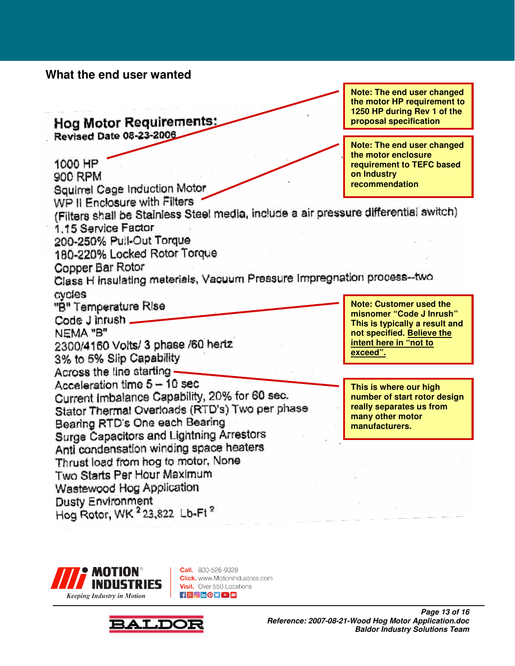### **What the end user wanted**

**the motor HP requirement to 1250 HP during Rev 1 of the Hog Motor Requirements: proposal specification** Revised Date 08-23-2006 **Note: The end user changed the motor enclosure**  1000 HP **requirement to TEFC based on Industry**  900 RPM Squirrel Cage Induction Motor **recommendation**  WP II Enclosure with Filters (Filters shall be Stainless Steel media, include a air pressure differential switch) 1.15 Service Factor 200-250% Pull-Out Torque 180-220% Locked Rotor Torque Copper Bar Rotor Class H insulating materials, Vacuum Pressure Impregnation process--two cvcles "B" Temperature Rise **Note: Customer used the misnomer "Code J Inrush"**  Code J inrush \_ **This is typically a result and**  NEMA "B" **not specified. Believe the intent here in "not to**  2300/4160 Volts/ 3 phase /60 hertz **exceed".** 3% to 5% Slip Capability Across the line starting -Acceleration time 5 - 10 sec **This is where our high**  Current Imbalance Capability, 20% for 60 sec. **number of start rotor design**  Stator Thermal Overloads (RTD's) Two per phase **really separates us from many other motor**  Bearing RTD's One each Bearing **manufacturers.** Surge Capacitors and Lightning Arrestors Anti condensation winding space heaters Thrust load from hog to motor, None Two Starts Per Hour Maximum Wastewood Hog Application **Dusty Environment** Hog Rotor, WK 223,822 Lb-Ft 2



**Call.** 800-526-9328 **Click.** www.MotionIndustries.com Visit. Over 550 Locations  $\mathbf{f}$   $\mathbf{F}$   $\mathbf{F}$   $\mathbf{F}$   $\mathbf{F}$   $\mathbf{F}$   $\mathbf{F}$   $\mathbf{F}$   $\mathbf{F}$   $\mathbf{F}$ 



**Note: The end user changed**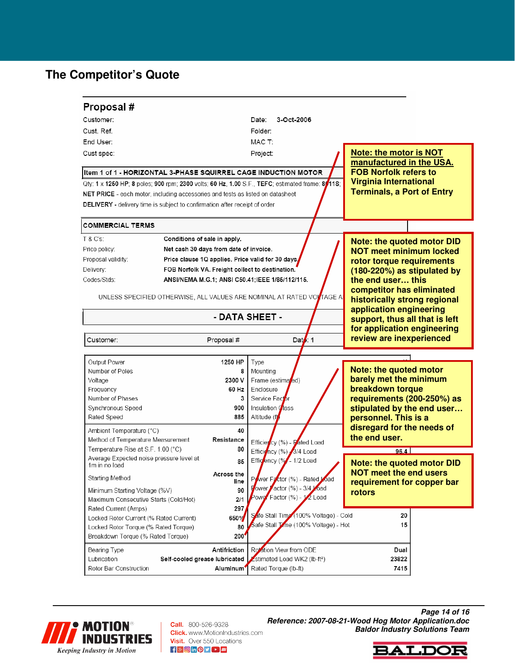# **The Competitor's Quote**

| Proposal#                                                 |                                                                                   |                                                                                                |                                   |                                |  |  |
|-----------------------------------------------------------|-----------------------------------------------------------------------------------|------------------------------------------------------------------------------------------------|-----------------------------------|--------------------------------|--|--|
| Customer:                                                 |                                                                                   | Date:<br>3-Oct-2006                                                                            |                                   |                                |  |  |
| Cust. Ref.                                                |                                                                                   | Folder:                                                                                        |                                   |                                |  |  |
| End User:                                                 |                                                                                   | MAC T:                                                                                         |                                   |                                |  |  |
| Cust spec:                                                |                                                                                   |                                                                                                | <b>Note: the motor is NOT</b>     |                                |  |  |
|                                                           |                                                                                   | Project:                                                                                       | manufactured in the USA.          |                                |  |  |
|                                                           | Item 1 of 1 - HORIZONTAL 3-PHASE SQUIRREL CAGE INDUCTION MOTOR                    |                                                                                                | <b>FOB Norfolk refers to</b>      |                                |  |  |
|                                                           |                                                                                   | Qty: 1 x 1250 HP; 8 poles; 900 rpm; 2300 volts; 60 Hz, 1.00 S.F., TEFC; estimated frame: 8015; | <b>Virginia International</b>     |                                |  |  |
|                                                           | NET PRICE - each motor, including accessories and tests as listed on datasheet    |                                                                                                | <b>Terminals, a Port of Entry</b> |                                |  |  |
|                                                           | <b>DELIVERY</b> - delivery time is subject to confirmation after receipt of order |                                                                                                |                                   |                                |  |  |
| <b>COMMERCIAL TERMS</b>                                   |                                                                                   |                                                                                                |                                   |                                |  |  |
| T & C's:                                                  | Conditions of sale in apply.                                                      |                                                                                                | <b>Note: the quoted motor DID</b> |                                |  |  |
| Price policy:                                             | Net cash 30 days from date of invoice.                                            |                                                                                                | <b>NOT meet minimum locked</b>    |                                |  |  |
| Proposal validity:                                        | Price clause 1Q applies. Price valid for 30 days,                                 |                                                                                                | rotor torque requirements         |                                |  |  |
| Delivery:                                                 | FOB Norfolk VA. Freight collect to destination.                                   |                                                                                                | (180-220%) as stipulated by       |                                |  |  |
| Codes/Stds:                                               | ANSI/NEMA M.G.1; ANSI C50.41; IEEE 1/85/112/115.                                  |                                                                                                |                                   | the end user this              |  |  |
|                                                           |                                                                                   |                                                                                                | competitor has eliminated         |                                |  |  |
|                                                           |                                                                                   | UNLESS SPECIFIED OTHERWISE, ALL VALUES ARE NOMINAL AT RATED VOLTAGE A                          | historically strong regional      |                                |  |  |
|                                                           |                                                                                   |                                                                                                |                                   | application engineering        |  |  |
|                                                           |                                                                                   | - DATA SHEET -                                                                                 |                                   | support, thus all that is left |  |  |
|                                                           |                                                                                   |                                                                                                | for application engineering       |                                |  |  |
| Data: $1$<br>Proposal #<br>Customer:                      |                                                                                   | review are inexperienced                                                                       |                                   |                                |  |  |
|                                                           |                                                                                   |                                                                                                |                                   |                                |  |  |
| Output Power                                              | 1250 HP                                                                           | Type                                                                                           |                                   |                                |  |  |
| Number of Poles                                           |                                                                                   | Mounting<br>8                                                                                  | <b>Note: the quoted motor</b>     |                                |  |  |
| Voltage                                                   | 2300 V                                                                            | Frame (estimated)                                                                              | barely met the minimum            |                                |  |  |
| Frequency                                                 | 60 Hz                                                                             | Enclosure                                                                                      | breakdown torque                  |                                |  |  |
| Number of Phases                                          |                                                                                   | Service Factor<br>3                                                                            | requirements (200-250%) as        |                                |  |  |
| Synchronous Speed                                         | 900                                                                               | Insulation Class                                                                               | stipulated by the end user        |                                |  |  |
| Rated Speed                                               | 885                                                                               | Altitude (ft                                                                                   | personnel. This is a              |                                |  |  |
| Ambient Temperature (°C)                                  | 40                                                                                |                                                                                                | disregard for the needs of        |                                |  |  |
|                                                           | Method of Temperature Measurement<br>Resistance                                   |                                                                                                | the end user.                     |                                |  |  |
| Temperature Rise at S.F. 1.00 (°C)                        | 80                                                                                | Efficiency (%) 3/4 Load                                                                        | 96.4                              |                                |  |  |
| Average Expected noise pressure level at<br>1m in no load | 85                                                                                | Effic <sup>j</sup> ency (%) - 1/2 Load                                                         | <b>Note: the quoted motor DID</b> |                                |  |  |
| Starting Method                                           | Across the                                                                        | Power Factor (%) - Rated Load                                                                  | <b>NOT meet the end users</b>     |                                |  |  |
| Minimum Starting Voltage (%V)                             | line<br>90                                                                        | Fower Factor (%) - 3/4 Load                                                                    | requirement for copper bar        |                                |  |  |
| Maximum Consecutive Starts (Cold/Hot)                     | 2/1                                                                               | Powe <sup>Factor</sup> (%) - 1 <sup>2</sup> Load                                               | rotors                            |                                |  |  |
| Rated Current (Amps)                                      | 297                                                                               |                                                                                                |                                   |                                |  |  |
| Locked Rotor Current (% Rated Current)                    | 650%                                                                              | Safe Stall Time (100% Voltage) - Cold                                                          | 20                                |                                |  |  |
| Locked Rotor Torque (% Rated Torque)                      | 80                                                                                | Safe Stall Time (100% Voltage) - Hot                                                           | 15                                |                                |  |  |
| Breakdown Torque (% Rated Torque)                         | <b>200</b>                                                                        |                                                                                                |                                   |                                |  |  |
| Bearing Type                                              |                                                                                   |                                                                                                |                                   |                                |  |  |
|                                                           | Antifriction                                                                      | Rotation View from ODE                                                                         | Dual                              |                                |  |  |
| Lubrication                                               | Self-cooled grease lubricated                                                     | Estimated Load WK2 (lb-ft <sup>2</sup> )                                                       | 23822                             |                                |  |  |



**Call.** 800-526-9328 **Click.** www.MotionIndustries.com **Visit.** Over 550 Locations  $f$   $\frac{1}{2}$   $\odot$   $\cdots$   $\odot$   $\cdots$   $\cdots$ 

**Page 14 of 16 Reference: 2007-08-21-Wood Hog Motor Application.doc Baldor Industry Solutions Team**

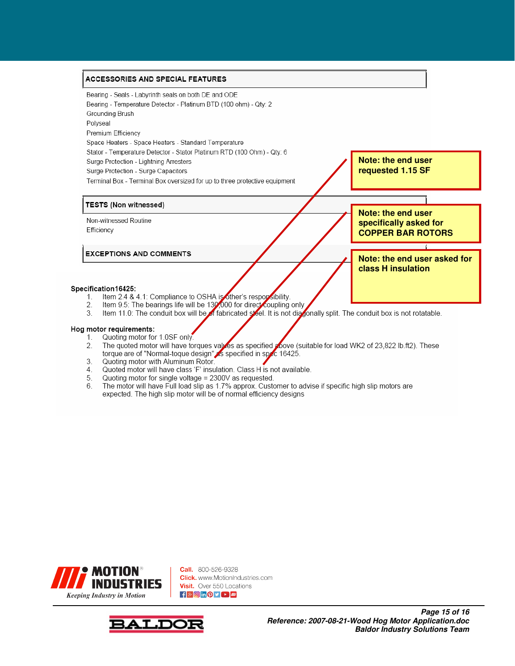#### ACCESSORIES AND SPECIAL FEATURES



- The quoted motor will have torques values as specified plove (suitable for load WK2 of 23,822 lb.ft2). These 2. torque are of "Normal-toque design" is specified in spec 16425.
- 3. Quoting motor with Aluminum Rotor.
- Quoted motor will have class 'F' insulation. Class H is not available.  $4$
- Quoting motor for single voltage = 2300V as requested. 5.
- The motor will have Full load slip as 1.7% approx. Customer to advise if specific high slip motors are 6. expected. The high slip motor will be of normal efficiency designs



**Call.** 800-526-9328 **Click.** www.MotionIndustries.com Visit. Over 550 Locations  $f$   $\frac{8}{5}$   $\odot$  in  $\odot$   $\odot$   $\odot$   $\cdots$